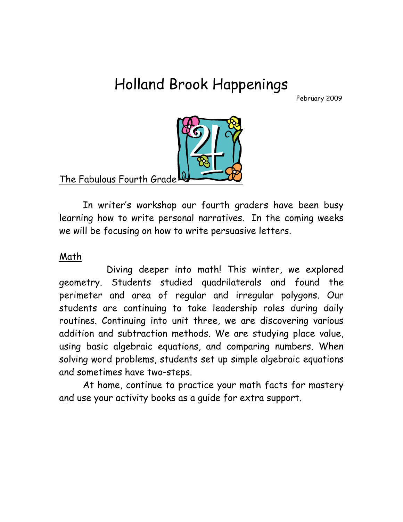# Holland Brook Happenings

February 2009



The Fabulous Fourth Grade

In writer's workshop our fourth graders have been busy learning how to write personal narratives. In the coming weeks we will be focusing on how to write persuasive letters.

# Math

 Diving deeper into math! This winter, we explored geometry. Students studied quadrilaterals and found the perimeter and area of regular and irregular polygons. Our students are continuing to take leadership roles during daily routines. Continuing into unit three, we are discovering various addition and subtraction methods. We are studying place value, using basic algebraic equations, and comparing numbers. When solving word problems, students set up simple algebraic equations and sometimes have two-steps.

 At home, continue to practice your math facts for mastery and use your activity books as a guide for extra support.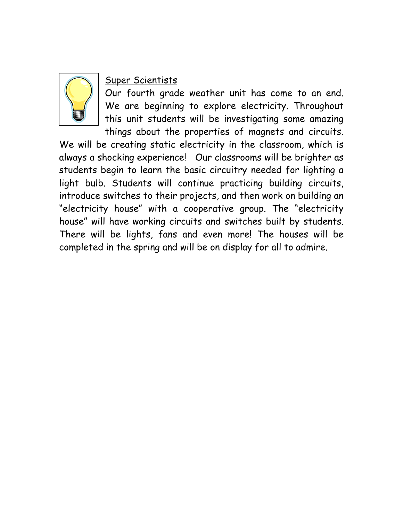

# Super Scientists

Our fourth grade weather unit has come to an end. We are beginning to explore electricity. Throughout this unit students will be investigating some amazing things about the properties of magnets and circuits.

We will be creating static electricity in the classroom, which is always a shocking experience! Our classrooms will be brighter as students begin to learn the basic circuitry needed for lighting a light bulb. Students will continue practicing building circuits, introduce switches to their projects, and then work on building an "electricity house" with a cooperative group. The "electricity house" will have working circuits and switches built by students. There will be lights, fans and even more! The houses will be completed in the spring and will be on display for all to admire.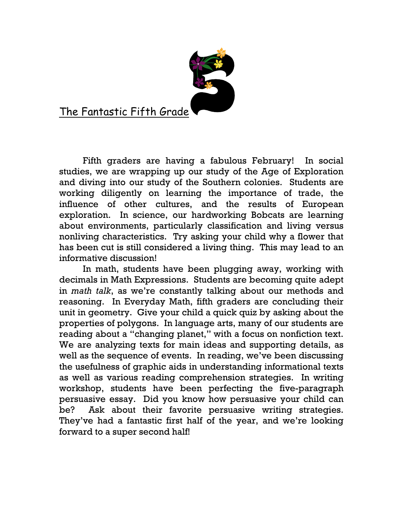

The Fantastic Fifth Grade

Fifth graders are having a fabulous February! In social studies, we are wrapping up our study of the Age of Exploration and diving into our study of the Southern colonies. Students are working diligently on learning the importance of trade, the influence of other cultures, and the results of European exploration. In science, our hardworking Bobcats are learning about environments, particularly classification and living versus nonliving characteristics. Try asking your child why a flower that has been cut is still considered a living thing. This may lead to an informative discussion!

In math, students have been plugging away, working with decimals in Math Expressions. Students are becoming quite adept in math talk, as we're constantly talking about our methods and reasoning. In Everyday Math, fifth graders are concluding their unit in geometry. Give your child a quick quiz by asking about the properties of polygons. In language arts, many of our students are reading about a "changing planet," with a focus on nonfiction text. We are analyzing texts for main ideas and supporting details, as well as the sequence of events. In reading, we've been discussing the usefulness of graphic aids in understanding informational texts as well as various reading comprehension strategies. In writing workshop, students have been perfecting the five-paragraph persuasive essay. Did you know how persuasive your child can be? Ask about their favorite persuasive writing strategies. They've had a fantastic first half of the year, and we're looking forward to a super second half!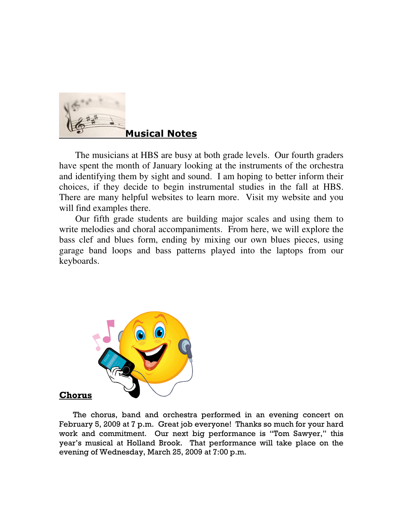

 The musicians at HBS are busy at both grade levels. Our fourth graders have spent the month of January looking at the instruments of the orchestra and identifying them by sight and sound. I am hoping to better inform their choices, if they decide to begin instrumental studies in the fall at HBS. There are many helpful websites to learn more. Visit my website and you will find examples there.

 Our fifth grade students are building major scales and using them to write melodies and choral accompaniments. From here, we will explore the bass clef and blues form, ending by mixing our own blues pieces, using garage band loops and bass patterns played into the laptops from our keyboards.



Chorus

 The chorus, band and orchestra performed in an evening concert on February 5, 2009 at 7 p.m. Great job everyone! Thanks so much for your hard work and commitment. Our next big performance is "Tom Sawyer," this year's musical at Holland Brook. That performance will take place on the evening of Wednesday, March 25, 2009 at 7:00 p.m.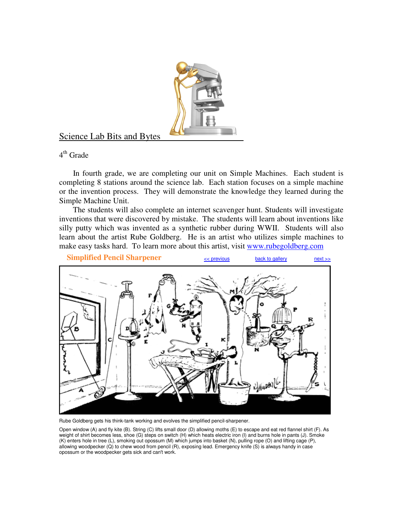

## Science Lab Bits and Bytes

4<sup>th</sup> Grade

 In fourth grade, we are completing our unit on Simple Machines. Each student is completing 8 stations around the science lab. Each station focuses on a simple machine or the invention process. They will demonstrate the knowledge they learned during the Simple Machine Unit.

 The students will also complete an internet scavenger hunt. Students will investigate inventions that were discovered by mistake. The students will learn about inventions like silly putty which was invented as a synthetic rubber during WWII. Students will also learn about the artist Rube Goldberg. He is an artist who utilizes simple machines to make easy tasks hard. To learn more about this artist, visit www.rubegoldberg.com



Rube Goldberg gets his think-tank working and evolves the simplified pencil-sharpener.

Open window (A) and fly kite (B). String (C) lifts small door (D) allowing moths (E) to escape and eat red flannel shirt (F). As weight of shirt becomes less, shoe (G) steps on switch (H) which heats electric iron (I) and burns hole in pants (J). Smoke (K) enters hole in tree (L), smoking out opossum (M) which jumps into basket (N), pulling rope (O) and lifting cage (P), allowing woodpecker (Q) to chew wood from pencil (R), exposing lead. Emergency knife (S) is always handy in case opossum or the woodpecker gets sick and can't work.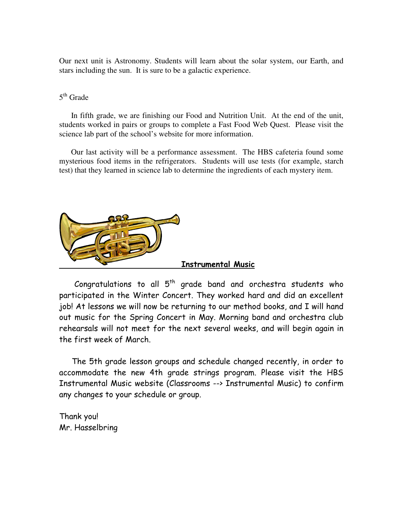Our next unit is Astronomy. Students will learn about the solar system, our Earth, and stars including the sun. It is sure to be a galactic experience.

#### 5<sup>th</sup> Grade

 In fifth grade, we are finishing our Food and Nutrition Unit. At the end of the unit, students worked in pairs or groups to complete a Fast Food Web Quest. Please visit the science lab part of the school's website for more information.

 Our last activity will be a performance assessment. The HBS cafeteria found some mysterious food items in the refrigerators. Students will use tests (for example, starch test) that they learned in science lab to determine the ingredients of each mystery item.



Congratulations to all  $5<sup>th</sup>$  grade band and orchestra students who participated in the Winter Concert. They worked hard and did an excellent job! At lessons we will now be returning to our method books, and I will hand out music for the Spring Concert in May. Morning band and orchestra club rehearsals will not meet for the next several weeks, and will begin again in the first week of March.

 The 5th grade lesson groups and schedule changed recently, in order to accommodate the new 4th grade strings program. Please visit the HBS Instrumental Music website (Classrooms --> Instrumental Music) to confirm any changes to your schedule or group.

Thank you! Mr. Hasselbring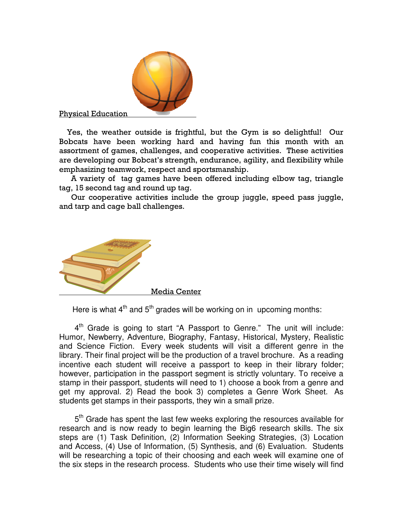

Physical Education

 Yes, the weather outside is frightful, but the Gym is so delightful! Our Bobcats have been working hard and having fun this month with an assortment of games, challenges, and cooperative activities. These activities are developing our Bobcat's strength, endurance, agility, and flexibility while emphasizing teamwork, respect and sportsmanship.

 A variety of tag games have been offered including elbow tag, triangle tag, 15 second tag and round up tag.

 Our cooperative activities include the group juggle, speed pass juggle, and tarp and cage ball challenges.



Here is what  $4<sup>th</sup>$  and  $5<sup>th</sup>$  grades will be working on in upcoming months:

4<sup>th</sup> Grade is going to start "A Passport to Genre." The unit will include: Humor, Newberry, Adventure, Biography, Fantasy, Historical, Mystery, Realistic and Science Fiction. Every week students will visit a different genre in the library. Their final project will be the production of a travel brochure. As a reading incentive each student will receive a passport to keep in their library folder; however, participation in the passport segment is strictly voluntary. To receive a stamp in their passport, students will need to 1) choose a book from a genre and get my approval. 2) Read the book 3) completes a Genre Work Sheet. As students get stamps in their passports, they win a small prize.

5<sup>th</sup> Grade has spent the last few weeks exploring the resources available for research and is now ready to begin learning the Big6 research skills. The six steps are (1) Task Definition, (2) Information Seeking Strategies, (3) Location and Access, (4) Use of Information, (5) Synthesis, and (6) Evaluation. Students will be researching a topic of their choosing and each week will examine one of the six steps in the research process. Students who use their time wisely will find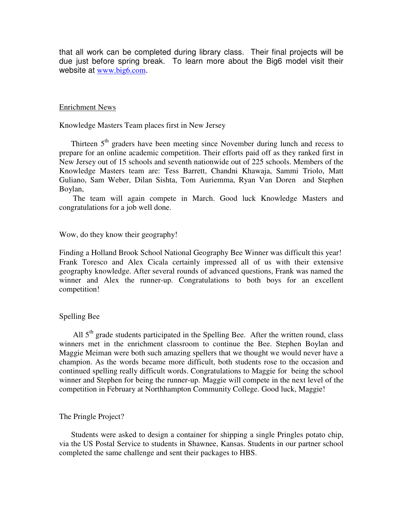that all work can be completed during library class. Their final projects will be due just before spring break. To learn more about the Big6 model visit their website at www.big6.com.

#### Enrichment News

Knowledge Masters Team places first in New Jersey

Thirteen 5<sup>th</sup> graders have been meeting since November during lunch and recess to prepare for an online academic competition. Their efforts paid off as they ranked first in New Jersey out of 15 schools and seventh nationwide out of 225 schools. Members of the Knowledge Masters team are: Tess Barrett, Chandni Khawaja, Sammi Triolo, Matt Guliano, Sam Weber, Dilan Sishta, Tom Auriemma, Ryan Van Doren and Stephen Boylan,

 The team will again compete in March. Good luck Knowledge Masters and congratulations for a job well done.

Wow, do they know their geography!

Finding a Holland Brook School National Geography Bee Winner was difficult this year! Frank Toresco and Alex Cicala certainly impressed all of us with their extensive geography knowledge. After several rounds of advanced questions, Frank was named the winner and Alex the runner-up. Congratulations to both boys for an excellent competition!

#### Spelling Bee

All  $5<sup>th</sup>$  grade students participated in the Spelling Bee. After the written round, class winners met in the enrichment classroom to continue the Bee. Stephen Boylan and Maggie Meiman were both such amazing spellers that we thought we would never have a champion. As the words became more difficult, both students rose to the occasion and continued spelling really difficult words. Congratulations to Maggie for being the school winner and Stephen for being the runner-up. Maggie will compete in the next level of the competition in February at Northhampton Community College. Good luck, Maggie!

#### The Pringle Project?

 Students were asked to design a container for shipping a single Pringles potato chip, via the US Postal Service to students in Shawnee, Kansas. Students in our partner school completed the same challenge and sent their packages to HBS.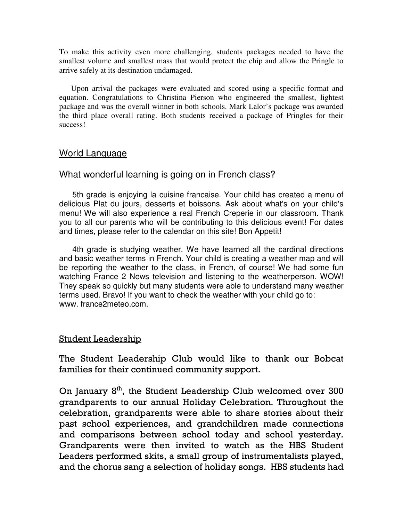To make this activity even more challenging, students packages needed to have the smallest volume and smallest mass that would protect the chip and allow the Pringle to arrive safely at its destination undamaged.

 Upon arrival the packages were evaluated and scored using a specific format and equation. Congratulations to Christina Pierson who engineered the smallest, lightest package and was the overall winner in both schools. Mark Lalor's package was awarded the third place overall rating. Both students received a package of Pringles for their success!

## World Language

## What wonderful learning is going on in French class?

 5th grade is enjoying la cuisine francaise. Your child has created a menu of delicious Plat du jours, desserts et boissons. Ask about what's on your child's menu! We will also experience a real French Creperie in our classroom. Thank you to all our parents who will be contributing to this delicious event! For dates and times, please refer to the calendar on this site! Bon Appetit!

 4th grade is studying weather. We have learned all the cardinal directions and basic weather terms in French. Your child is creating a weather map and will be reporting the weather to the class, in French, of course! We had some fun watching France 2 News television and listening to the weatherperson. WOW! They speak so quickly but many students were able to understand many weather terms used. Bravo! If you want to check the weather with your child go to: www. france2meteo.com.

#### Student Leadership

The Student Leadership Club would like to thank our Bobcat families for their continued community support.

On January  $8<sup>th</sup>$ , the Student Leadership Club welcomed over 300 grandparents to our annual Holiday Celebration. Throughout the celebration, grandparents were able to share stories about their past school experiences, and grandchildren made connections and comparisons between school today and school yesterday. Grandparents were then invited to watch as the HBS Student Leaders performed skits, a small group of instrumentalists played, and the chorus sang a selection of holiday songs. HBS students had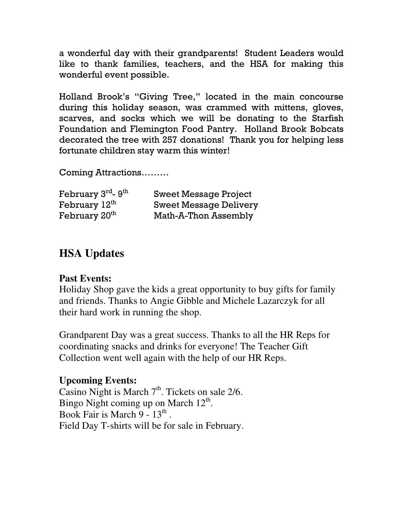a wonderful day with their grandparents! Student Leaders would like to thank families, teachers, and the HSA for making this wonderful event possible.

Holland Brook's "Giving Tree," located in the main concourse during this holiday season, was crammed with mittens, gloves, scarves, and socks which we will be donating to the Starfish Foundation and Flemington Food Pantry. Holland Brook Bobcats decorated the tree with 257 donations! Thank you for helping less fortunate children stay warm this winter!

Coming Attractions………

| February 3rd- 9th         | <b>Sweet Message Project</b>  |
|---------------------------|-------------------------------|
| February 12th             | <b>Sweet Message Delivery</b> |
| February 20 <sup>th</sup> | Math-A-Thon Assembly          |

# **HSA Updates**

# **Past Events:**

Holiday Shop gave the kids a great opportunity to buy gifts for family and friends. Thanks to Angie Gibble and Michele Lazarczyk for all their hard work in running the shop.

Grandparent Day was a great success. Thanks to all the HR Reps for coordinating snacks and drinks for everyone! The Teacher Gift Collection went well again with the help of our HR Reps.

# **Upcoming Events:**

Casino Night is March  $7<sup>th</sup>$ . Tickets on sale 2/6. Bingo Night coming up on March  $12^{th}$ . Book Fair is March  $9 - 13$ <sup>th</sup>. Field Day T-shirts will be for sale in February.